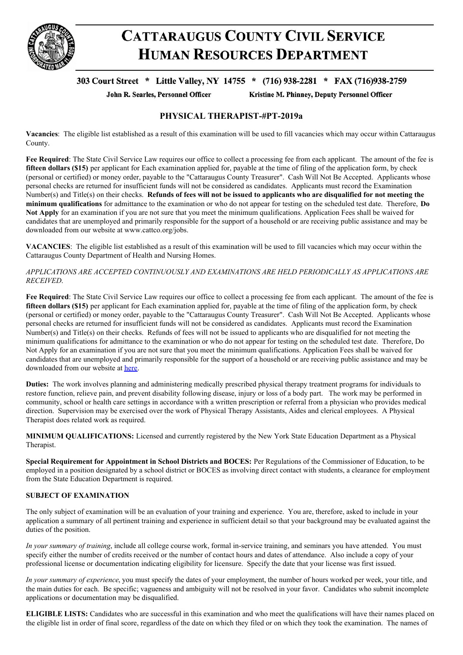

# **CATTARAUGUS COUNTY CIVIL SERVICE HUMAN RESOURCES DEPARTMENT**

# 303 Court Street \* Little Valley, NY 14755 \* (716) 938-2281 \* FAX (716)938-2759

John R. Searles, Personnel Officer

Kristine M. Phinney, Deputy Personnel Officer

## **PHYSICAL THERAPIST-#PT-2019a**

**Vacancies**: The eligible list established as a result of this examination will be used to fill vacancies which may occur within Cattaraugus County.

**Fee Required**: The State Civil Service Law requires our office to collect a processing fee from each applicant. The amount of the fee is **fifteen dollars (\$15)** per applicant for Each examination applied for, payable at the time of filing of the application form, by check (personal or certified) or money order, payable to the "Cattaraugus County Treasurer". Cash Will Not Be Accepted. Applicants whose personal checks are returned for insufficient funds will not be considered as candidates. Applicants must record the Examination Number(s) and Title(s) on their checks. Refunds of fees will not be issued to applicants who are disqualified for not meeting the **minimum qualifications** for admittance to the examination or who do not appear for testing on the scheduled test date. Therefore, **Do Not Apply** for an examination if you are not sure that you meet the minimum qualifications. Application Fees shall be waived for candidates that are unemployed and primarily responsible for the support of a household or are receiving public assistance and may be downloaded from our website at www.cattco.org/jobs.

**VACANCIES**: The eligible list established as a result of this examination will be used to fill vacancies which may occur within the Cattaraugus County Department of Health and Nursing Homes.

### *APPLICATIONS ARE ACCEPTED CONTINUOUSLY AND EXAMINATIONS ARE HELD PERIODICALLY AS APPLICATIONS ARE RECEIVED*.

**Fee Required**: The State Civil Service Law requires our office to collect a processing fee from each applicant. The amount of the fee is **fifteen dollars (\$15)** per applicant for Each examination applied for, payable at the time of filing of the application form, by check (personal or certified) or money order, payable to the "Cattaraugus County Treasurer". Cash Will Not Be Accepted. Applicants whose personal checks are returned for insufficient funds will not be considered as candidates. Applicants must record the Examination Number(s) and Title(s) on their checks. Refunds of fees will not be issued to applicants who are disqualified for not meeting the minimum qualifications for admittance to the examination or who do not appear for testing on the scheduled test date. Therefore, Do Not Apply for an examination if you are not sure that you meet the minimum qualifications. Application Fees shall be waived for candidates that are unemployed and primarily responsible for the support of a household or are receiving public assistance and may be downloaded from our website at [here](https://www.cattco.org/human-resources/exam-info).

**Duties:** The work involves planning and administering medically prescribed physical therapy treatment programs for individuals to restore function, relieve pain, and prevent disability following disease, injury or loss of a body part. The work may be performed in community, school or health care settings in accordance with a written prescription or referral from a physician who provides medical direction. Supervision may be exercised over the work of Physical Therapy Assistants, Aides and clerical employees. A Physical Therapist does related work as required.

**MINIMUM QUALIFICATIONS:** Licensed and currently registered by the New York State Education Department as a Physical Therapist.

**Special Requirement for Appointment in School Districts and BOCES:** Per Regulations of the Commissioner of Education, to be employed in a position designated by a school district or BOCES as involving direct contact with students, a clearance for employment from the State Education Department is required.

#### **SUBJECT OF EXAMINATION**

The only subject of examination will be an evaluation of your training and experience. You are, therefore, asked to include in your application a summary of all pertinent training and experience in sufficient detail so that your background may be evaluated against the duties of the position.

*In your summary of training*, include all college course work, formal in-service training, and seminars you have attended. You must specify either the number of credits received or the number of contact hours and dates of attendance. Also include a copy of your professional license or documentation indicating eligibility for licensure. Specify the date that your license was first issued.

*In your summary of experience*, you must specify the dates of your employment, the number of hours worked per week, your title, and the main duties for each. Be specific; vagueness and ambiguity will not be resolved in your favor. Candidates who submit incomplete applications or documentation may be disqualified.

**ELIGIBLE LISTS:** Candidates who are successful in this examination and who meet the qualifications will have their names placed on the eligible list in order of final score, regardless of the date on which they filed or on which they took the examination. The names of